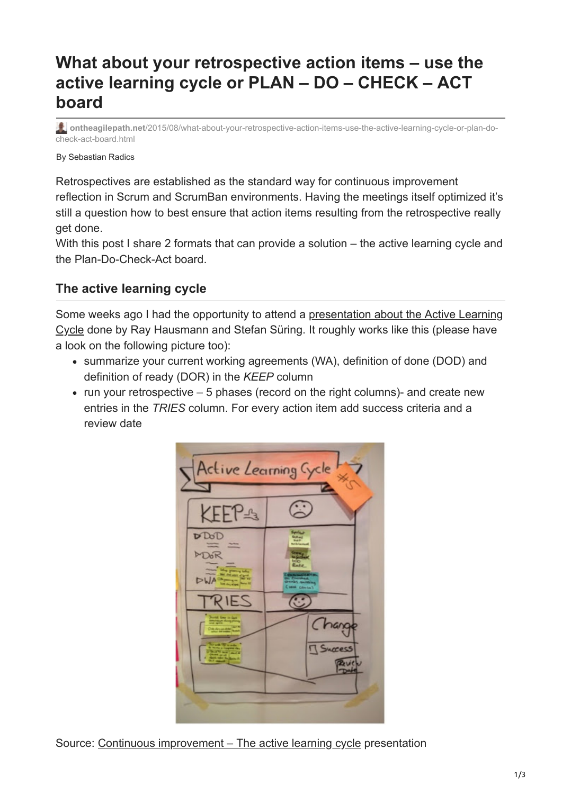# **What about your retrospective action items – use the active learning cycle or PLAN – DO – CHECK – ACT board**

**ontheagilepath.net**[/2015/08/what-about-your-retrospective-action-items-use-the-active-learning-cycle-or-plan-do](https://www.ontheagilepath.net/2015/08/what-about-your-retrospective-action-items-use-the-active-learning-cycle-or-plan-do-check-act-board.html)check-act-board.html

By Sebastian Radics

Retrospectives are established as the standard way for continuous improvement reflection in Scrum and ScrumBan environments. Having the meetings itself optimized it's still a question how to best ensure that action items resulting from the retrospective really get done.

With this post I share 2 formats that can provide a solution – the active learning cycle and the Plan-Do-Check-Act board.

## **The active learning cycle**

[Some weeks ago I had the opportunity to attend a presentation about the Active Learning](http://de.slideshare.net/BlnSteFan/continuous-improvement-49599082/1) Cycle done by Ray Hausmann and Stefan Süring. It roughly works like this (please have a look on the following picture too):

- summarize your current working agreements (WA), definition of done (DOD) and definition of ready (DOR) in the *KEEP* column
- run your retrospective  $-5$  phases (record on the right columns)- and create new entries in the *TRIES* column. For every action item add success criteria and a review date



Source: Continuous improvement - The active learning cycle presentation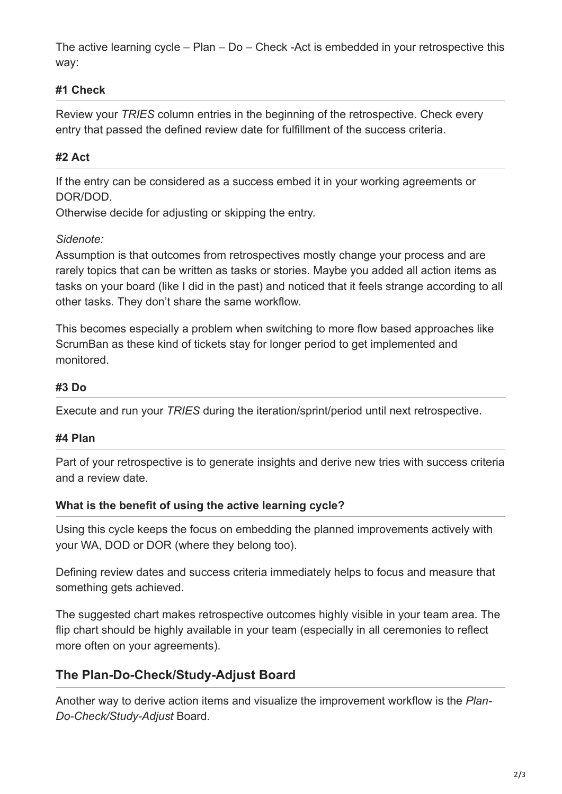The active learning cycle – Plan – Do – Check -Act is embedded in your retrospective this way:

### **#1 Check**

Review your *TRIES* column entries in the beginning of the retrospective. Check every entry that passed the defined review date for fulfillment of the success criteria.

## **#2 Act**

If the entry can be considered as a success embed it in your working agreements or DOR/DOD.

Otherwise decide for adjusting or skipping the entry.

#### *Sidenote:*

Assumption is that outcomes from retrospectives mostly change your process and are rarely topics that can be written as tasks or stories. Maybe you added all action items as tasks on your board (like I did in the past) and noticed that it feels strange according to all other tasks. They don't share the same workflow.

This becomes especially a problem when switching to more flow based approaches like ScrumBan as these kind of tickets stay for longer period to get implemented and monitored.

#### **#3 Do**

Execute and run your *TRIES* during the iteration/sprint/period until next retrospective.

#### **#4 Plan**

Part of your retrospective is to generate insights and derive new tries with success criteria and a review date.

#### **What is the benefit of using the active learning cycle?**

Using this cycle keeps the focus on embedding the planned improvements actively with your WA, DOD or DOR (where they belong too).

Defining review dates and success criteria immediately helps to focus and measure that something gets achieved.

The suggested chart makes retrospective outcomes highly visible in your team area. The flip chart should be highly available in your team (especially in all ceremonies to reflect more often on your agreements).

# **The Plan-Do-Check/Study-Adjust Board**

Another way to derive action items and visualize the improvement workflow is the *Plan-Do-Check/Study-Adjust* Board.